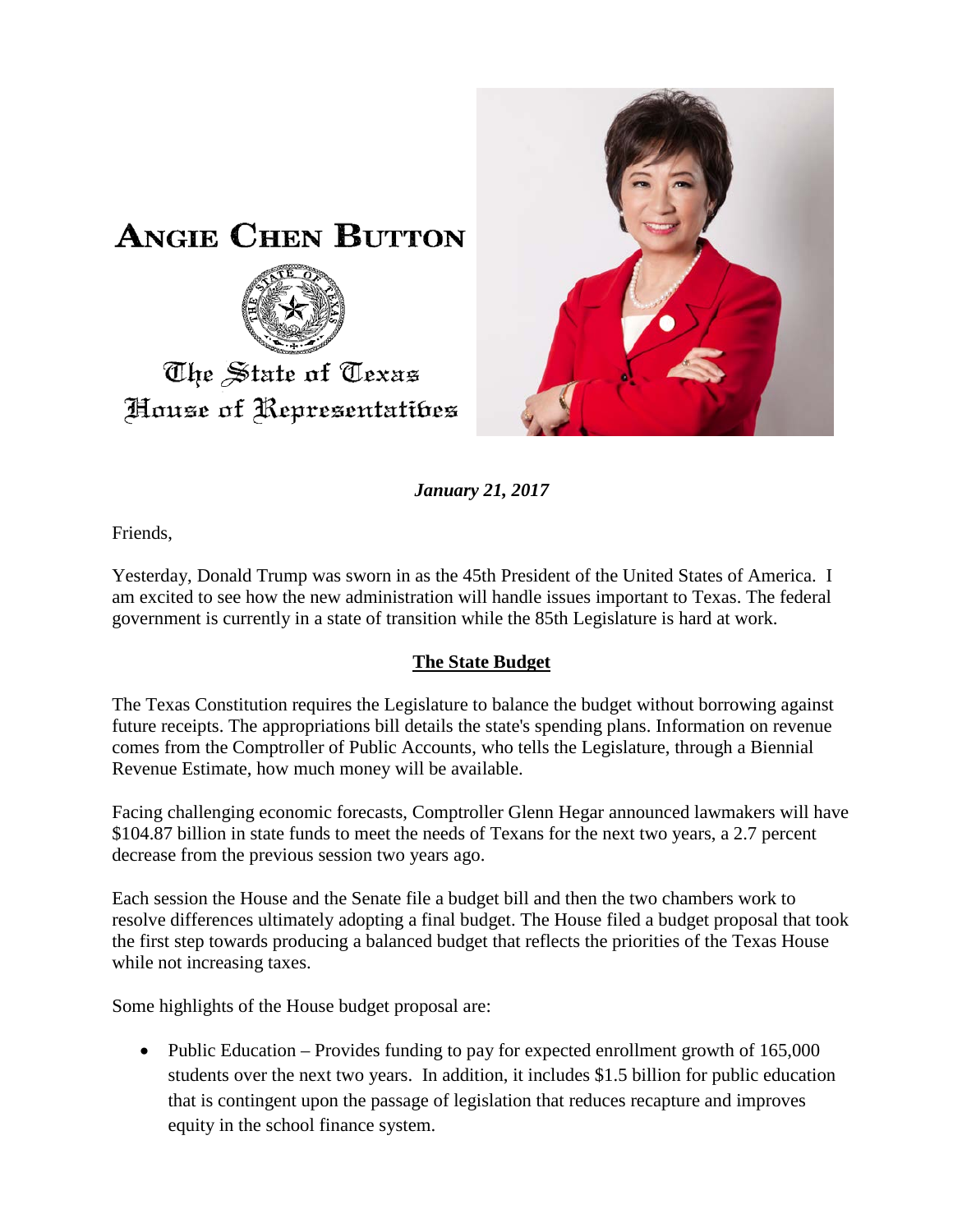



*January 21, 2017*

Friends,

Yesterday, Donald Trump was sworn in as the 45th President of the United States of America. I am excited to see how the new administration will handle issues important to Texas. The federal government is currently in a state of transition while the 85th Legislature is hard at work.

## **The State Budget**

The Texas Constitution requires the Legislature to balance the budget without borrowing against future receipts. The appropriations bill details the state's spending plans. Information on revenue comes from the Comptroller of Public Accounts, who tells the Legislature, through a Biennial Revenue Estimate, how much money will be available.

Facing challenging economic forecasts, Comptroller Glenn Hegar announced lawmakers will have \$104.87 billion in state funds to meet the needs of Texans for the next two years, a 2.7 percent decrease from the previous session two years ago.

Each session the House and the Senate file a budget bill and then the two chambers work to resolve differences ultimately adopting a final budget. The House filed a budget proposal that took the first step towards producing a balanced budget that reflects the priorities of the Texas House while not increasing taxes.

Some highlights of the House budget proposal are:

• Public Education – Provides funding to pay for expected enrollment growth of 165,000 students over the next two years. In addition, it includes \$1.5 billion for public education that is contingent upon the passage of legislation that reduces recapture and improves equity in the school finance system.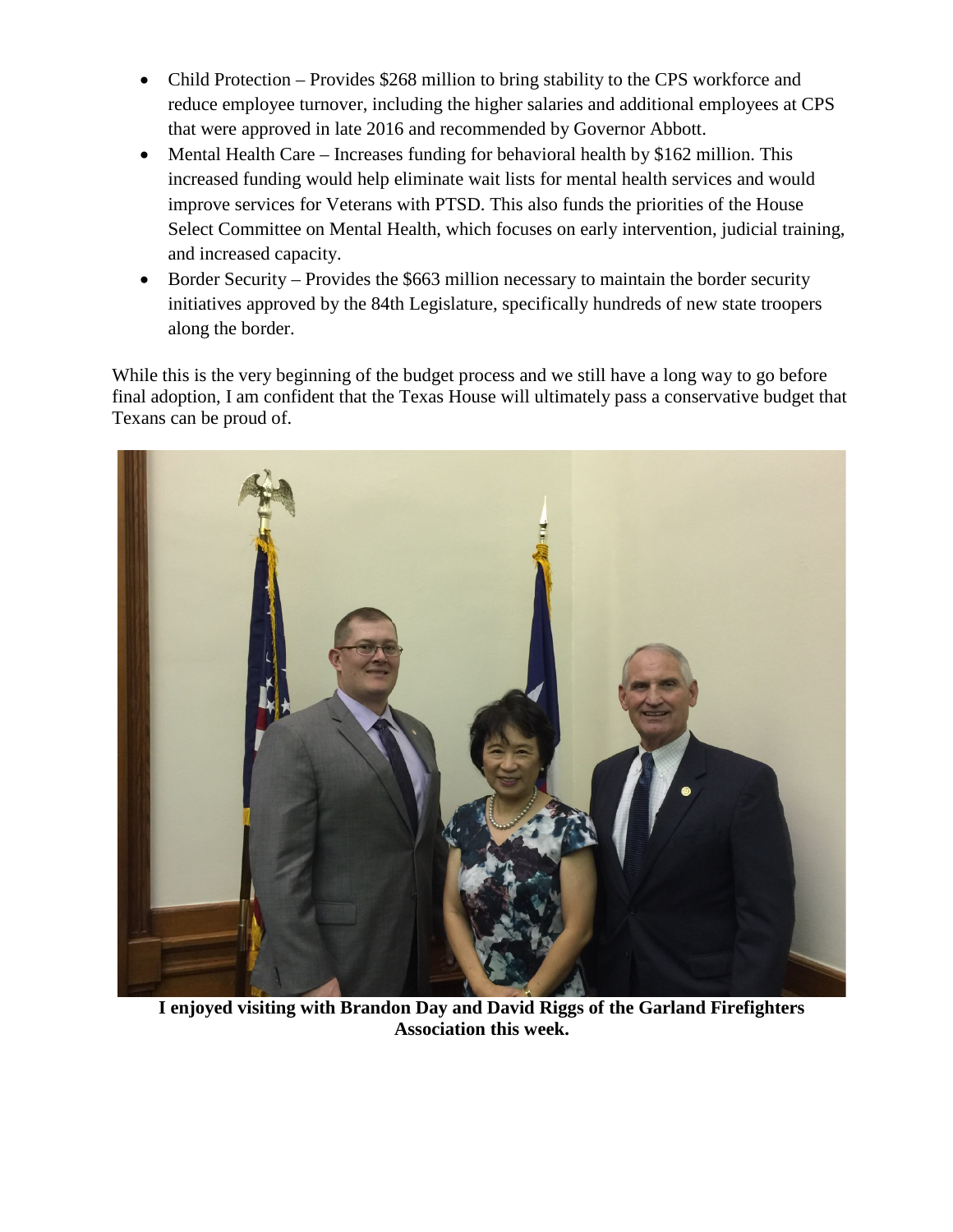- Child Protection Provides \$268 million to bring stability to the CPS workforce and reduce employee turnover, including the higher salaries and additional employees at CPS that were approved in late 2016 and recommended by Governor Abbott.
- Mental Health Care Increases funding for behavioral health by \$162 million. This increased funding would help eliminate wait lists for mental health services and would improve services for Veterans with PTSD. This also funds the priorities of the House Select Committee on Mental Health, which focuses on early intervention, judicial training, and increased capacity.
- Border Security Provides the \$663 million necessary to maintain the border security initiatives approved by the 84th Legislature, specifically hundreds of new state troopers along the border.

While this is the very beginning of the budget process and we still have a long way to go before final adoption, I am confident that the Texas House will ultimately pass a conservative budget that Texans can be proud of.



**I enjoyed visiting with Brandon Day and David Riggs of the Garland Firefighters Association this week.**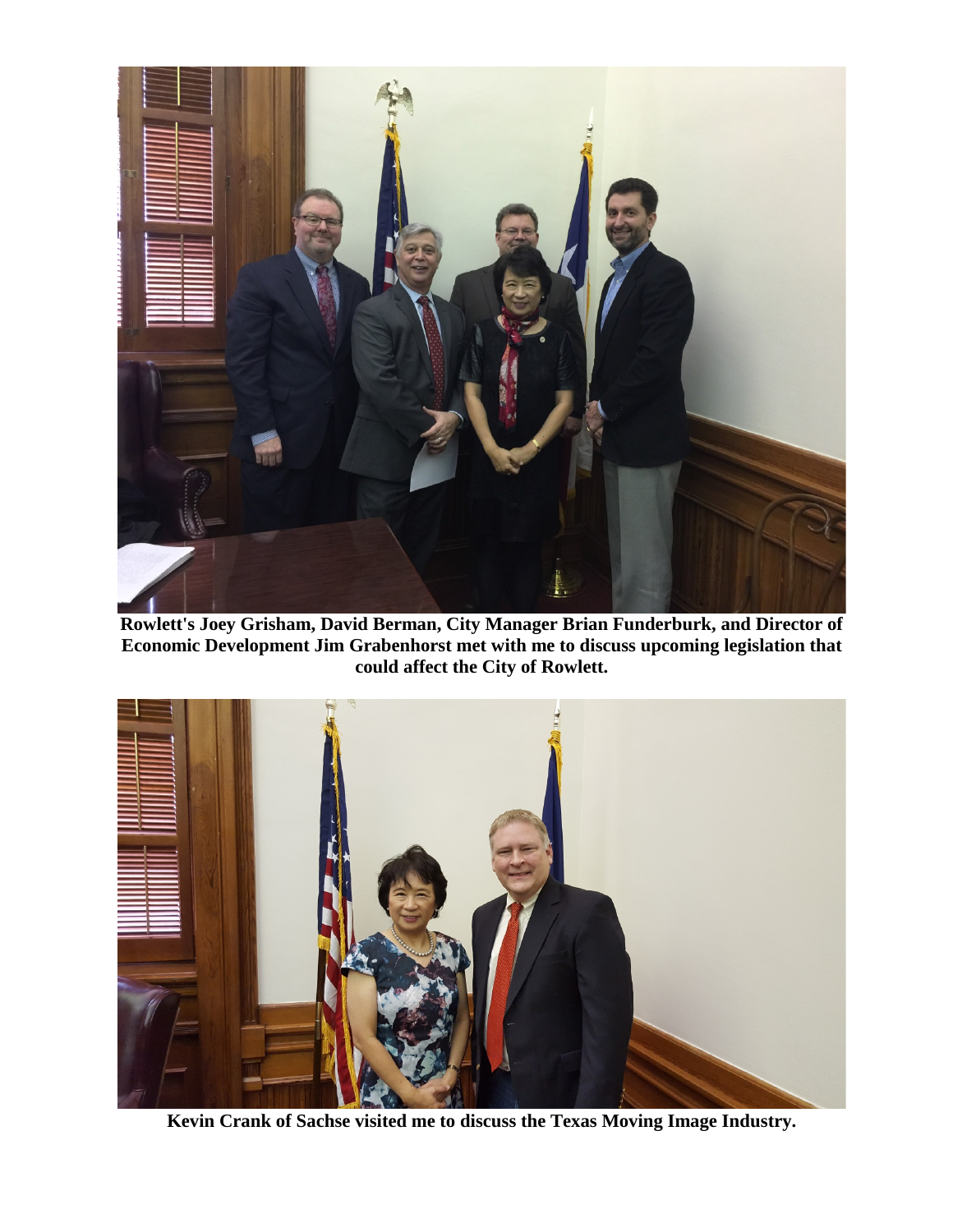

**Rowlett's Joey Grisham, David Berman, City Manager Brian Funderburk, and Director of Economic Development Jim Grabenhorst met with me to discuss upcoming legislation that could affect the City of Rowlett.**



**Kevin Crank of Sachse visited me to discuss the Texas Moving Image Industry.**